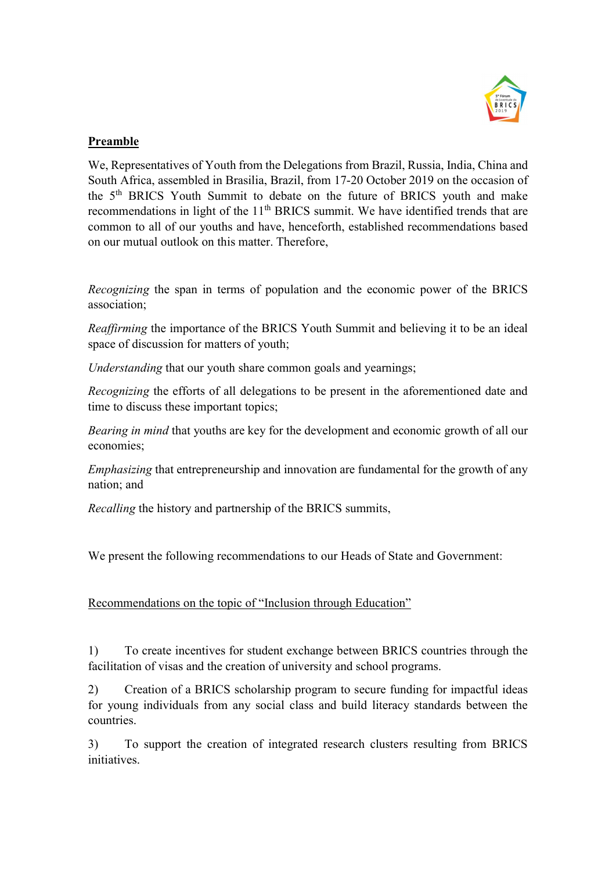

## Preamble

We, Representatives of Youth from the Delegations from Brazil, Russia, India, China and South Africa, assembled in Brasilia, Brazil, from 17-20 October 2019 on the occasion of the 5<sup>th</sup> BRICS Youth Summit to debate on the future of BRICS youth and make recommendations in light of the  $11<sup>th</sup> BRICS$  summit. We have identified trends that are common to all of our youths and have, henceforth, established recommendations based on our mutual outlook on this matter. Therefore,

Recognizing the span in terms of population and the economic power of the BRICS association;

Reaffirming the importance of the BRICS Youth Summit and believing it to be an ideal space of discussion for matters of youth;

Understanding that our youth share common goals and yearnings;

Recognizing the efforts of all delegations to be present in the aforementioned date and time to discuss these important topics;

Bearing in mind that youths are key for the development and economic growth of all our economies;

Emphasizing that entrepreneurship and innovation are fundamental for the growth of any nation; and

Recalling the history and partnership of the BRICS summits,

We present the following recommendations to our Heads of State and Government:

Recommendations on the topic of "Inclusion through Education"

1) To create incentives for student exchange between BRICS countries through the facilitation of visas and the creation of university and school programs.

2) Creation of a BRICS scholarship program to secure funding for impactful ideas for young individuals from any social class and build literacy standards between the countries.

3) To support the creation of integrated research clusters resulting from BRICS initiatives.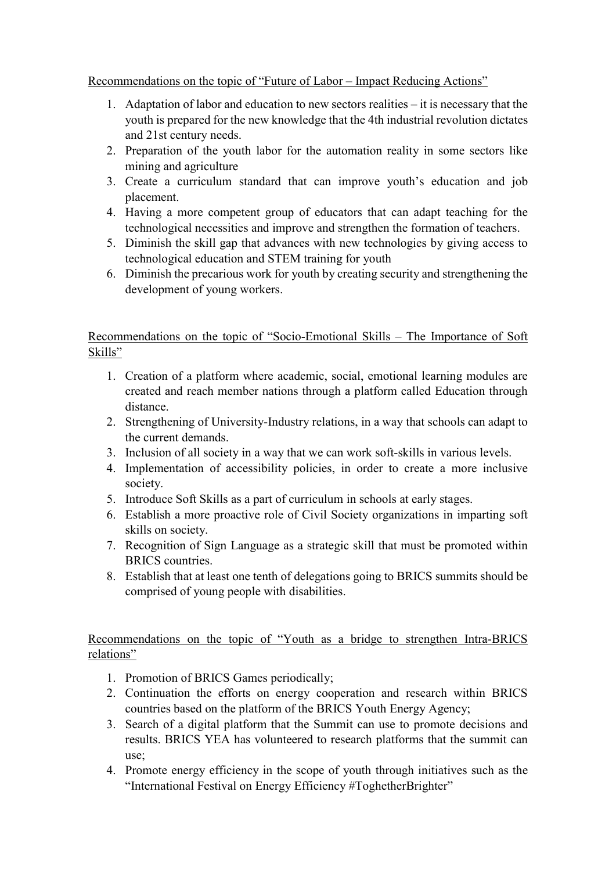Recommendations on the topic of "Future of Labor – Impact Reducing Actions"

- 1. Adaptation of labor and education to new sectors realities it is necessary that the youth is prepared for the new knowledge that the 4th industrial revolution dictates and 21st century needs.
- 2. Preparation of the youth labor for the automation reality in some sectors like mining and agriculture
- 3. Create a curriculum standard that can improve youth's education and job placement.
- 4. Having a more competent group of educators that can adapt teaching for the technological necessities and improve and strengthen the formation of teachers.
- 5. Diminish the skill gap that advances with new technologies by giving access to technological education and STEM training for youth
- 6. Diminish the precarious work for youth by creating security and strengthening the development of young workers.

Recommendations on the topic of "Socio-Emotional Skills – The Importance of Soft Skills"

- 1. Creation of a platform where academic, social, emotional learning modules are created and reach member nations through a platform called Education through distance.
- 2. Strengthening of University-Industry relations, in a way that schools can adapt to the current demands.
- 3. Inclusion of all society in a way that we can work soft-skills in various levels.
- 4. Implementation of accessibility policies, in order to create a more inclusive society.
- 5. Introduce Soft Skills as a part of curriculum in schools at early stages.
- 6. Establish a more proactive role of Civil Society organizations in imparting soft skills on society.
- 7. Recognition of Sign Language as a strategic skill that must be promoted within BRICS countries.
- 8. Establish that at least one tenth of delegations going to BRICS summits should be comprised of young people with disabilities.

Recommendations on the topic of "Youth as a bridge to strengthen Intra-BRICS relations"

- 1. Promotion of BRICS Games periodically;
- 2. Continuation the efforts on energy cooperation and research within BRICS countries based on the platform of the BRICS Youth Energy Agency;
- 3. Search of a digital platform that the Summit can use to promote decisions and results. BRICS YEA has volunteered to research platforms that the summit can use;
- 4. Promote energy efficiency in the scope of youth through initiatives such as the "International Festival on Energy Efficiency #ToghetherBrighter"